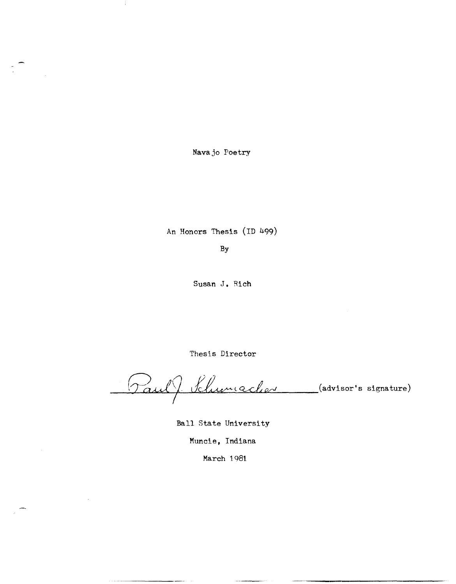Navajo Poetry

Ĵ,

An Honors Thesis (ID 499)

By

Susan J. Rich

Thesis Director

Paul J Klumacher (advisor's signature)

Ball State University

Muncie, Indiana

March 1981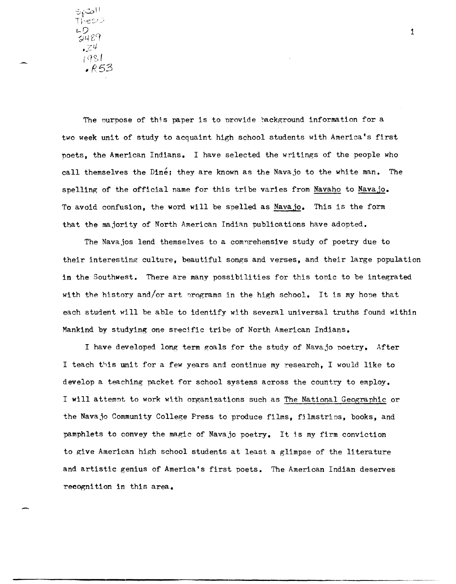اامکره<br>Thesis .0<br>2489  $274$  $1981$  $.853$ 

The purpose of this paper is to provide background information for a two week unit of study to acquaint high school students with America's first poets, the American Indians. I have selected the writings of the people who call themselves the Dine; they are known as the Nava jo to the white man. The spelling of the official name for this tribe varies from Navaho to Navajo. To avoid confusion, the word will be spelled as Navajo. This is the form that the majority of North American Indian publications have adopted.

The Navajos lend themselves to a comprehensive study of poetry due to their interesting culture, beautiful songs and verses, and their large population in the Southwest. There are many possibilities for this tonic to be integrated with the history and/or art programs in the high school. It is my hone that each student will be able to identify with several universal truths found within Mankind by studying one specific tribe of North American Indians.

I have developed long term goals for the study of Navajo noetry. After I teach this unit for a few years and continue my research, I would like to develop a teaehing packet for school systems across the country to employ. I will attemnt to work with organizations such as The National Geographic or the Navajo Community College Press to produce films, filmstrips, books, and pamphlets to convey the magic of Navajo poetry. It is my firm conviction to give American high school students at least a glimpse of the Ii tera ture and artistic genius of America's first poets. The American Indian deserves recognition in this area.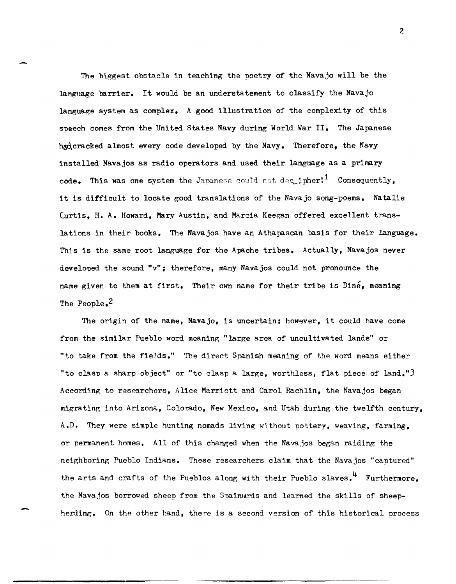The biggest obstacle in teaching the poetry of the Navajo will be the language barrier. It would be an understatement to classify the Navajo language system as complex. A good illustration of the complexity of this speech comes from the United States Navy during World War II. The Japanese had cracked almost every code developed by the Navy. Therefore, the Navy installed Navajos as radio operators and used their language as a primary code. This was one system the Japanese could not deq.ipher!<sup>1</sup> Consequently, it is difficult to locate good translations of the Navajo song-poems. Natalie CurtiS, H. A. Howard, Mary Austin, and Marcia Keegan offered excellent translations in their books. The Navajos have an Athapascan basis for their language. This is the same root language for the Apache tribes. Actually, Navajos never developed the sound "v"; therefore, many Navajos could not pronounce the name given to them at first. Their own name for their tribe is Dine, meaning The People.<sup>2</sup>

The origin of the name, Navajo, is uncertain; however, it could have come from the similar Pueblo word meaning "large area of uncultivated lands" or "to take from the fieJds." The direct Spanish meaning of the word means either "to clasn a sharp object" or "to clasp a large, worthless, flat piece of land."3 According to researchers, Alice Marriott and Carol Rachlin, the Navajos began migrating into Arizona, Colorado, New Mexico, and Utah during the twelfth century, A.D. They were simple hunting nomads living without pottery, weaving, farming, or nermanent homes. All of this changed when the Navajos began raiding the neighboring Pueblo Indians. These researchers claim that the Navajos "captured" the arts and crafts of the Pueblos along with their Pueblo slaves.<sup>4</sup> Furthermore. the Navajos borrowed sheep from the Spainwards and learned the skills of sheepherding. On the other hand, there is a second version of this historical process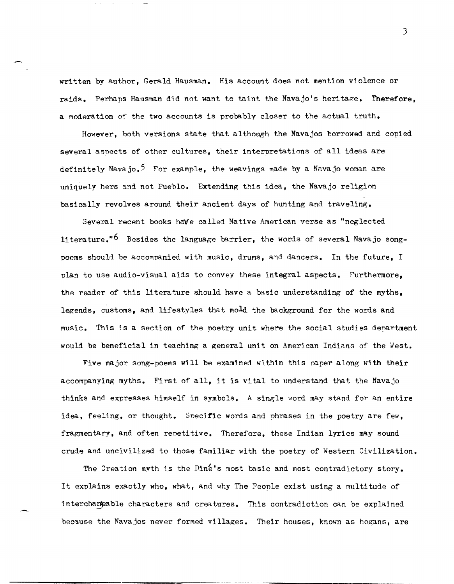written by author, Gerald Hausman. His account does not mention violence or raids. Perhaps Hausman did not want to taint the Navajo's heritage. Therefore. a moderation of the two accounts is probably closer to the actual truth.

However, both versions state that although the Navajos borrowed and copied several aspects of other cultures, their interpretations of all ideas are definitely Navajo.<sup>5</sup> For example, the weavings made by a Navajo woman are uniquely hers and not Pueblo. Extending this idea, the Navajo religion basically revolves around their ancient days of hunting and traveling.

Several recent books have called Native American verse as "neglected literature."<sup>6</sup> Besides the language barrier, the words of several Navajo songpoems should be accomnanied with music, drums, and dancers. In the future, I plan to use audio-visual aids to convey these integral aspects. Furthermore, the reader of this literature should have a basic understanding of the myths, legends, customs, and lifestyles that mold the background for the words and music. This is a section of the poetry unit where the social studies department would be beneficial in teaching a general unit on American Indians of the West.

Five major song-poems will be examined within this paper along with their accompanying myths. First of all, it is vital to understand that the Navajo thinks and expresses himself in symbols. A single word may stand for an entire idea, feeling, or thought. Specific words and phrases in the poetry are few, fragmentary, and often renetitive. Therefore, these Indian lyrics may sound crude and uncivilized to those familiar with the poetry of Western Civilization.

The Creation myth is the Dine's most basic and most contradictory story. It explains exactly who, what, and why The Peonle exist using a multitude of interchangable characters and creatures. This contradiction can be explained because the Navajos never formed villages. Their houses, known as hogans, are

J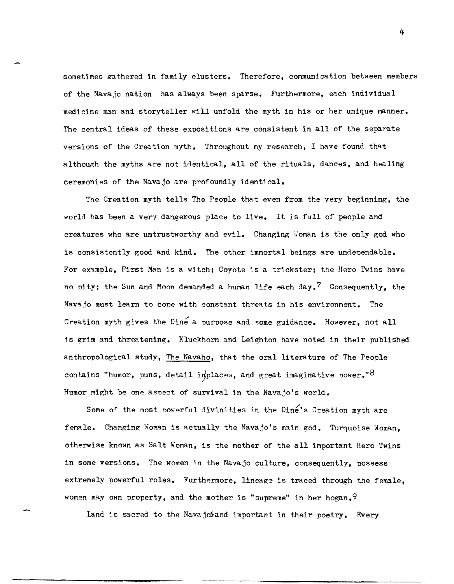sometimes gathered in family clusters. Therefore, communication between members of the Navajo nation has always been sparse. Furthermore, each individual medicine man and storyteller will unfold the myth in his or her unique manner. The central ideas of these expositions are consistent in all of the separate versions of the Creation myth. Throughout my research, I have found that although the myths are not identical, all of the rituals, dances, and healing ceremonies of the Navajo are profoundly identical.

The Creation myth tells The People that even from the very beginning, the world has been a very dangerous place to live. It is full of people and creatures who are untrustworthy and evil. Changing Woman is the only god who is consistently good and kind. The other immortal beings are undependable. For example, First Man is a witch; Coyote is a trickster; the Hero Twins have no pity; the Sun and Moon demanded a human life each day.<sup>7</sup> Consequently, the Navajo must learn to cope with constant threats in his environment. The Creation myth gives the Dine a purpose and some guidance. However, not all is grim and threatening. Kluckhorn and Leighton have noted in their published anthropological study, The Navaho, that the oral literature of The People contains "humor, puns, detail in $\frac{1}{2}$ places, and great imaginative power." $8$ Humor might be one aspect of survival in the Navajo's world.

Some of the most powerful divinities in the Dine's Creation myth are female. Changing Woman is actually the Navajo's main god. Turquoise Woman, otherwise known as Salt Woman, is the mother of the all important Hero Twins in some versions. The women in the Navajo culture, consequently, possess extremely powerful roles. Furthermore, lineage is traced through the female, women may own property, and the mother is "supreme" in her hogan.<sup>9</sup>

Land is sacred to the NavajoSand important in their poetry. Every

------------,----------~-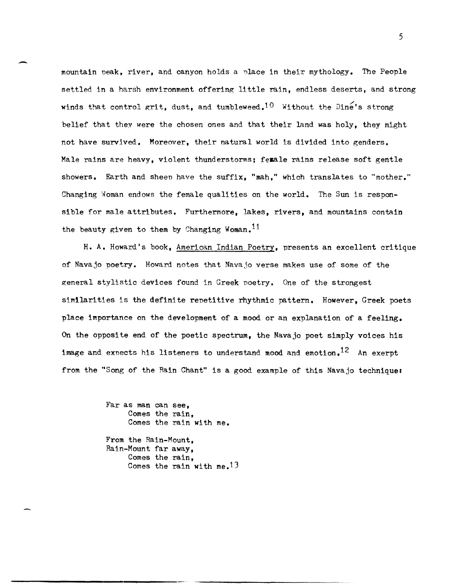mountain peak, river, and canyon holds a nlace in their mythology. The People settled in a harsh environment offering little rain, endless deserts, and strong winds that control grit, dust, and tumbleweed.<sup>10</sup> Without the Dine's strong belief that they were the chosen ones and that their land was holy, they might not have survived. Moreover, their natural world is divided into genders. Male rains are heavy, violent thunderstorms; ferale rains release soft gentle showers. Earth and sheen have the suffix, "mah," which translates to "mother." Changing Woman endows the female qualities on the world. The Sun is responsible for male attributes. Furthermore, lakes, rivers, and mountains contain the beauty given to them by Changing Woman.<sup>11</sup>

H. A. Howard's book, American Indian Poetry, presents an excellent critique of Navajo poetry. Howard notes that Navajo verse makes use of some of the general stylistic devices found in Greek noetry. One of the strongest similarities is the definite repetitive rhythmic pattern. However, Greek poets place importance on the development of a mood or an explanation of a feeling. On the opposite end of the poetic spectrum, the Navajo poet simply voices his image and expects his listeners to understand mood and emotion.<sup>12</sup> An exerpt from the "Song of the Rain Chant" is a good example of this Navajo techniquer

> Far as man can see, Comes the rain, Comes the rain with me.

-

From the Rain-Mount, Rain-Mount far away, Comes the rain, Comes the rain with me.  $13$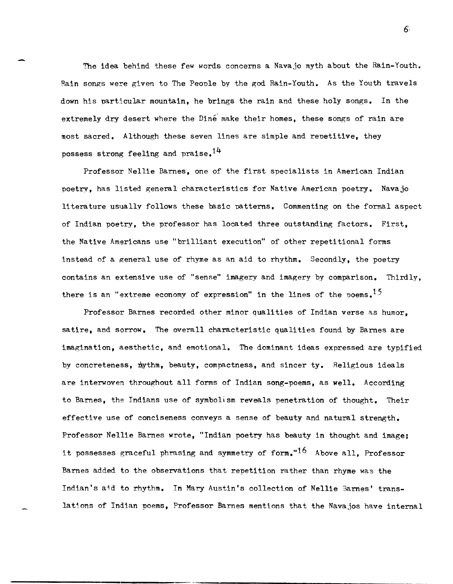The idea behind these few words concerns a Navajo myth about the Rain-Youth. Rain songs were given to The Peonle by the god Rain-Youth. As the Youth travels down his particular mountain, he brings the rain and these holy songs. In the extremely dry desert where the Dine make their homes, these songs of rain are most sacred. Although these seven lines are simple and renetitive, they possess strong feeling and praise.<sup>14</sup>

Professor Nellie Barnes, one of the first specialists in American Indian poetry, has listed general characteristics for Native American poetry. Navajo li terature usually follows these basic patterns. Commenting on the formal aspect of Indian poetry, the professor has located three outstanding factors. First, the Native Americans use "brilliant execution" of other repetitional forms instead of a general use of rhyme as an aid to rhythm. Secondly, the poetry contains an extensive use of "sense" imagery and imagery by comparison. Thirdly, there is an "extreme economy of expression" in the lines of the noems.<sup>15</sup>

Professor Barnes recorded other minor qualities of Indian verse as humor, satire, and sorrow. The overall characteristic qualities found by Barnes are imagination, aesthetic, and emotional. The dominant ideas expressed are typified by concreteness, mythm, beauty, compactness, and sincer ty. Religious ideals are interwoven throughout all forms of Indian song-poems, as well. According to Barnes, the Indians use of symbolism reveals penetration of thought. Their effective use of conciseness conveys a sense of beauty and natural strength. Professor Nellie Barnes wrote, "Indian poetry has beauty in thought and image; it possesses graceful phrasing and symmetry of form."<sup>16</sup> Above all. Professor Barnes added to the observations that repetition rather than rhyme was the Indian's aid to rhythm. In Mary Austin's collection of Nellie Barnes' translations of Indian poems, Professor Barnes mentions that the Navajos have internal

6,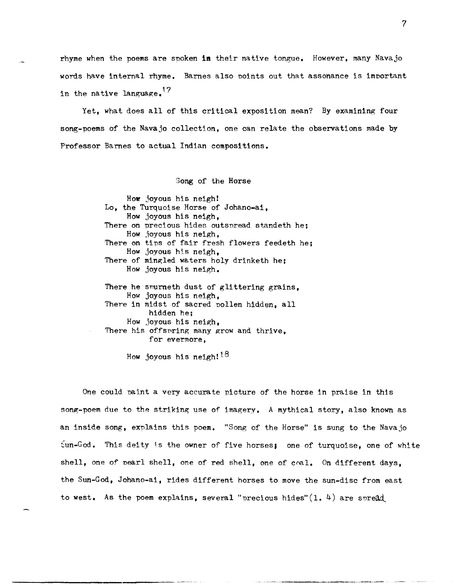rhyme when the poems are spoken in their native tongue. However, many Navajo words have internal rhyme. Barnes also points out that assonance is important in the native language.<sup>17</sup>

Yet, what does all of this critical exposition mean? By examining four song-poems of the Navajo collection, one can relate the observations made by Professor Barnes to actual Indian compositions.

Song of the Horse

How joyous his neigh! Lo, the Turquoise Horse of Johano-ai, How joyous his neigh, There on precious hides outspread standeth he; How joyous his neigh, There on tips of fair fresh flowers feedeth he; How joyous his neigh, There of mingled waters holy drinketh he; How joyous his neigh. There he sourneth dust of glittering grains, How joyous his neigh, There in midst of sacred pollen hidden, all hidden he; How joyous his neigh, There his offspring many grow and thrive. for evermore,

How joyous his neigh! $18$ 

One could naint a very accurate picture of the horse in praise in this song-poem due to the striking use of imagery. A mythical story, also known as an inside song, explains this poem. "Song of the Horse" is sung to the Navajo fun-God. This deity is the owner of five horses; one of turquoise, one of white shell, one of pearl shell, one of red shell, one of coal. On different days, the Sun-God, Johano-ai, rides different horses to move the sun-disc from east to west. As the poem explains, several "precious hides" $(1. 4)$  are spread.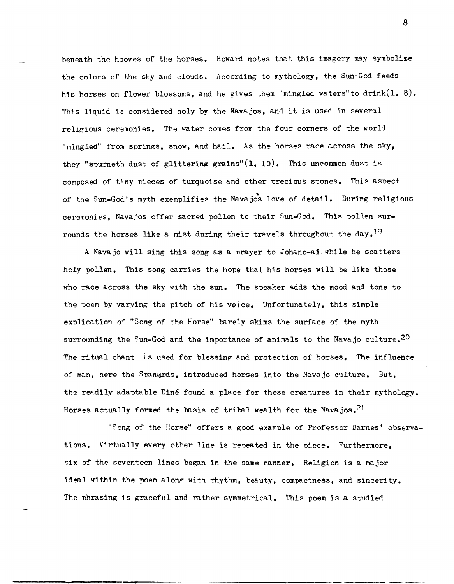beneath the hooves of the horses. Howard notes that this imagery may symbolize the colors of the sky and clouds. According to mythology, the Sun·God feeds his horses on flower blossoms, and he gives them "mingled waters" to drink(1. 8). This liquid is considered holy by the Navajos, and it is used in several religious ceremonies. The water comes from the four corners of the world "mingled" from springs, snow, and hail. As the horses race across the sky, they "spurneth dust of glittering grains" $(1, 10)$ . This uncommon dust is composed of tiny nieces of turquoise and other precious stones. This aspect of the Sun-God's myth exemplifies the Navajos love of detail. During religious ceremonies, Navajos offer sacred pollen to their Sun-God. This pollen surrounds the horses like a mist during their travels throughout the day.<sup>19</sup>

A Navajo will sing this song as a nrayer to Johano-ai while he scatters holy pollen. This song carries the hope that his horses will be like those who race across the sky with the sun. The speaker adds the mood and tone to the poem by varying the pitch of his voice. Unfortunately, this simple explication of "Song of the Horse" barely skims the surface of the myth surrounding the Sun-God and the importance of animals to the Navajo culture.<sup>20</sup> The ritual chant is used for blessing and protection of horses. The influence of man, here the Snaniards, introduced horses into the Navajo culture. But, the readily adaptable Diné found a place for these creatures in their mythology. Horses actually formed the basis of tribal wealth for the Navajos.<sup>21</sup>

"Song of the Horse" offers a good example of Professor Barnes' observations. Virtually every other line is repeated in the niece. Furthermore, six of the seventeen lines began in the same manner. Religion is a major ideal within the poem along with rhythm, beauty, compactness, and sincerity. The phrasing is graceful and rather symmetrical. This poem is a studied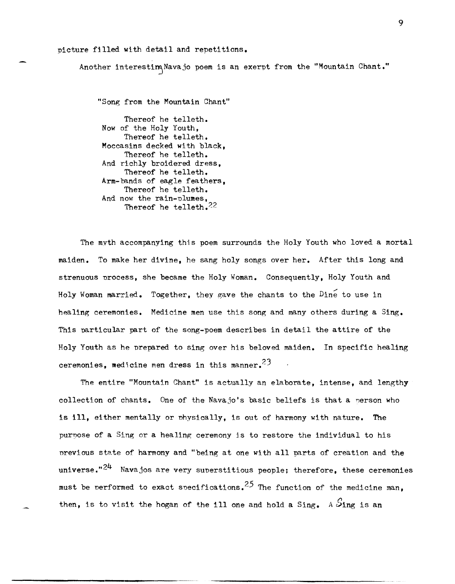## picture filled with detail and repetitions.

Another interestim Navajo poem is an exerpt from the "Mountain Chant."

"Song from the Mountain Chant"

Thereof he telleth. Now of the Holy Youth, Thereof he telleth. Moccasins decked with black, Thereof he telleth. And richly broidered dress, Thereof he telleth. Arm-bands of eagle feathers, Thereof he telleth. And now the rain-plumes, Thereof he telleth. $^{22}$ 

The myth accompanying this poem surrounds the Holy Youth who loved a mortal maiden. To make her divine, he sang holy songs over her. After this long and strenuous nrocess, she became the Holy Woman. Consequently, Holy Youth and Holy Woman married. Together, they gave the chants to the  $\overline{\text{Dine}}$  to use in healing ceremonies. Medicine men use this song and many others during a Sing. This particular part of the song-poem describes in detail the attire of the Holy Youth as he nrepared to sing over his beloved maiden. In specific healing ceremonies, medicine men dress in this manner.<sup>23</sup>

The entire "Mountain Chant" is actually an elaborate, intense, and lengthy collection of chants. One of the Navajo's basic beliefs is that a person who is ill, either mentally or nhvsically, is out of harmony with nature. The purnose of a Sing or a healing ceremony js to restore the individual to his nrevious sta.te of harmony and "being at one with all parts of creation and the universe." $24$  Navajos are very superstitious people; therefore, these ceremonies must be performed to exact specifications. <sup>25</sup> The function of the medicine man, then, is to visit the hogan of the ill one and hold a Sing. A  $\mathcal{S}_{\texttt{ing}}$  is an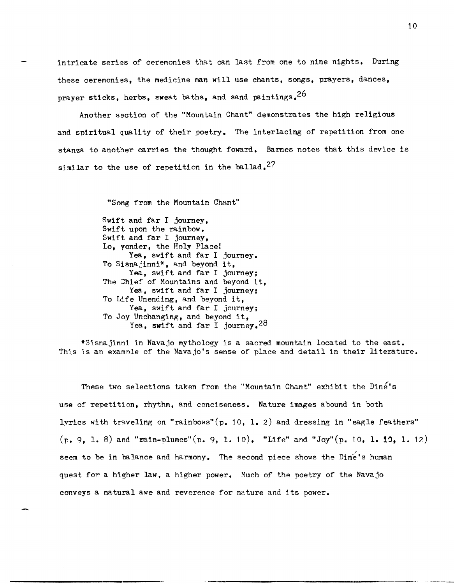intricate series of ceremonies that can last from one to nine nights. During these ceremonies, the medicine man will use chants, songs, prayers, dances, prayer sticks, herbs, sweat baths, and sand paintings.<sup>26</sup>

Another section of the "Mountain Chant" demonstrates the high religious and spiritual quality of their poetry. The interlacing of repetition from one stanza to another carries the thought foward. Barnes notes that this device is similar to the use of repetition in the ballad.<sup>27</sup>

> "Song from the Mountain Chant" Swift and far I journey, Swift upon the rainbow. Swift and far I journey, Lo, yonder, the Holy Place! Yea, swift and far I journey. To Sisnajinni\*, and beyond it, Yea, swift and far I journey; The Jhief of Mountains and beyond it, Yea, swift and far I journey; To Life Unending, and beyond it, Yea, swift and far I journey; To Joy Unchanging, and beyond it, Yea, swift and far I journey.<sup>28</sup>

\*Sisnajinni in Navajo mythology is a sacred mountain located to the east. This is an examnle of the Navajo's sense of place and detail in their literature.

These two selections taken from the "Mountain Chant" exhibit the Dine's use of repetition, rhythm, and conciseness. Nature images abound in both lyrics with traveling on "rainbows"  $(p. 10, 1. 2)$  and dressing in "eagle feathers"  $(p, 9, 1, 8)$  and "rain-plumes"(p. 9, 1. 10). "Life" and "Joy"(p. 10, 1. 12, 1. 12) seem to be in balance and harmony. The second piece shows the Dine's human quest for a higher law. a higher power. Much of the poetry of the Navajo conveys a natural awe and reverence for nature and its power.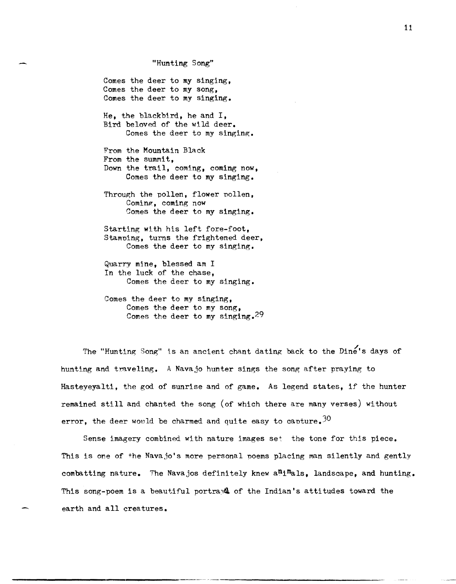"Hunting Song"

Comes the deer to my singing, Comes the deer to my song, Comes the deer to my singing.

He, the blackbird, he and I, Bird beloved of the wild deer. Comes the deer to my singing.

From the Mountain Black From the summit, Down the trail, coming, coming now, Comes the deer to my singing.

Through the pollen, flower pollen, Coming, coming now Comes the deer to my singing.

Starting with his left fore-foot, Stamping, turns the frightened deer, Comes the deer to my Singing.

Quarry mine, blessed am I In the luck of the chase, Comes the deer to my singing.

Comes the deer to my Singing, Comes the deer to my song, Comes the deer to my singing.29

The "Hunting Song" is an ancient chant dating back to the Dine's days of huntlng and traveling. A Navajo hunter sings the song after praying to Hasteyeyalti, the god of sunrise and of game. As legend states, if the hunter remained still and chanted the song (of which there are many verses) without error, the deer would be charmed and quite easy to capture.<sup>30</sup>

Sense imagery combined with nature images set the tone for this piece. This is one of the Navajo's more personal noems placing man silently and gently combatting nature. The Navajos definitely knew a<sup>n<sub>i</sub>m</sup>als, landscape, and hunting. This song-poem is a beautiful portray. of the Indian's attitudes toward the earth and all creatures.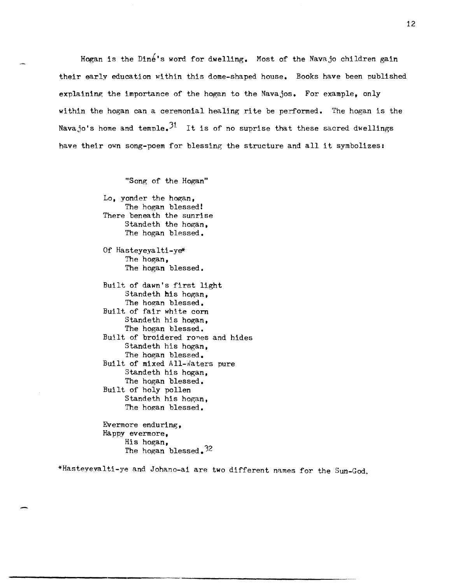Hogan is the Diné's word for dwelling. Most of the Navajo children gain their early education within this dome-shaped house. Books have been published explaining the importance of the hogan to the Navajos. For example, only within the hogan can a ceremonial healing rite be performed. The hogan is the Navajo's home and temple.<sup>31</sup> It is of no suprise that these sacred dwellings have their own song-poem for blessing the structure and all it symbolizes:

"Song of the Hogan"

Lo, yonder the hogan, The hogan blessed! There beneath the sunrise Standeth the hogan, The hogan blessed.

Of Hasteyeyalti-ye\* The hogan, The hogan blessed.

Built of dawn's first light Standeth his hogan, The hogan blessed. Built of fair white corn Standeth his hogan, The hogan blessed. Built of broidered rones and hides Standeth his hogan, The hogan blessed. Built. of mixed All-waters pure Standeth his hogan, The hogan blessed. Built of holy pollen Standeth his hogan, The hogan blessed.

Evermore enduring, Happy evermore, His hogan, The hogan blessed. $32$ 

\*Hasteyevalti-ye and Johano-ai are two different names for the Sun-God.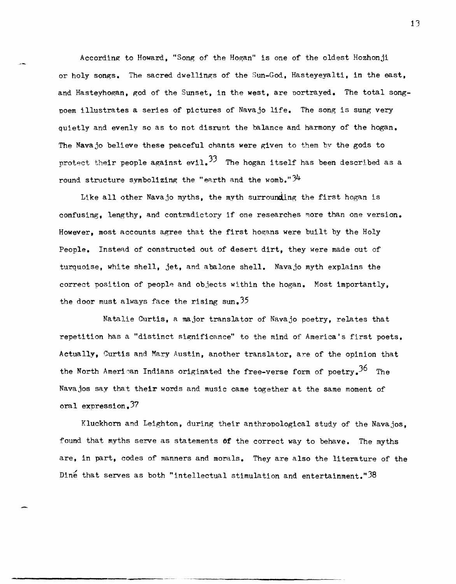According to Howard, "Song of the Hogan" is one of the oldest Hozhonji or holy songs. The sacred dwellings of the Sun-God, Hasteyeyalti, in the east, and Hasteyhogan, god of the Sunset, in the west, are portrayed. The total songpoem illustrates a series of pictures of Navajo life. The song is sung very quietly and evenly so as to not disrunt the balance and harmony of the hogan. The Navajo believe these peaceful chants were given to them bv the gods to protect their people against evil.<sup>33</sup> The hogan itself has been described as a round structure symbolizing the "earth and the womb." $34$ 

Like all other Navajo myths, the myth surrounding the first hogan is confusing, lengthy, and contradictory if one researches more than one version. However, most accounts agree that the first hogans were built by the Holy People. Instead of constructed out of desert dirt, they were made out of turquoise, white shell, jet, and abalone shell. Navajo myth explains the correct position of people and objects within the hogan. Most importantly, the door must always face the rising sun.  $35$ 

Natalie Curtis, a major translator of Navajo poetry, relates that repetition has a "distinct significance" to the mind of America's first poets. Actually, Curtis and Mary Austin, another translator, are of the opinion that the North American Indians originated the free-verse form of poetry.<sup>36</sup> The Navajos say that their words and music came together at the same moment of oral expression.3?

Kluckhorn and Leighton, during their anthropological study of the Navajos, found that myths serve as statements **Of** the correct way to behave. The myths are, in part, codes of manners and morals. They are also the literature of the Dine that serves as both "intellectual stimulation and entertainment." $38$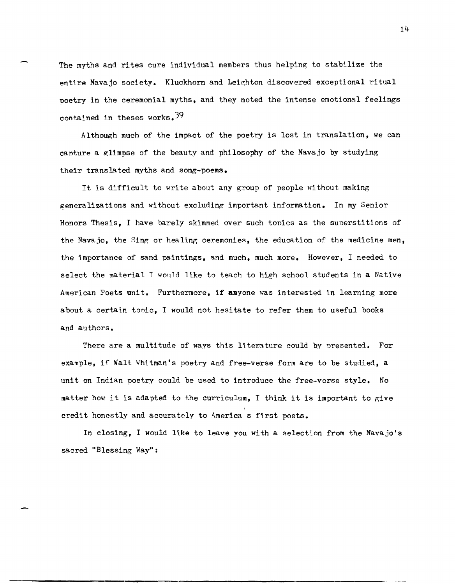The myths and rites cure individual members thus helping to stabilize the entire Navajo society. Kluckhorn and Leighton discovered exceptional ritual poetry in the ceremonial myths, and they noted the intense emotional feelings contained in theses works.  $39$ 

Although much of the impact of the poetry is lost in translation, we can capture a glimpse of the beauty and philosophy of the Navajo by studying their translated myths and song-poems.

It is difficult to write about any group of people without making generalizations and without excluding important information. In my Senior Honors ThesiS, I have barely skimmed over such tonics as the sunerstitions of the Navajo, the Sing or healtng ceremonies, the education of the medicine men, the importance of sand paintings, and much, much more. However, I needed to select the material I would like to teach to high school students in a Native American Poets unit. Furthermore, if anyone was interested in learning more about a certain tonic, I would not hesitate to refer them to useful books and authors.

There are a multitude of ways this literature could by presented. For example, if Walt Whitman's poetry and free-verse form are to be studied, a unit on Indian poetry could be used to introduce the free-verse style. No matter how it is adapted to the curriculum, I think it is important to give credit honestly and accurately to America s first poets.

In closing, I would like to leave you with a selection from the Navajo's sacred "Blessing Way":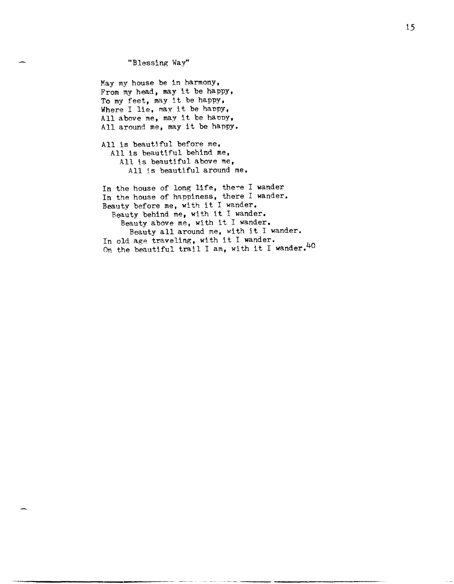"Blessing Way"

May my house be in harmony, From my head, may it be happy, To my feet, may it be happy, Where I lie, may it be happy, All above me, may it be happy, All around me, may it be happy.

All is beautjful before me, All is beautiful behind me, All 15 beautiful above me, All is beautiful around me.

In the house of long life, there I wander In the house of happiness, there I wander. Beauty before me, with it I wander. Beauty behind me, with it I wander. Beauty above me, with it I wander. Beauty all around me, with it I wander. In old age traveling, with it I wander. On the beautiful trail I am, with it I wander.<sup>40</sup>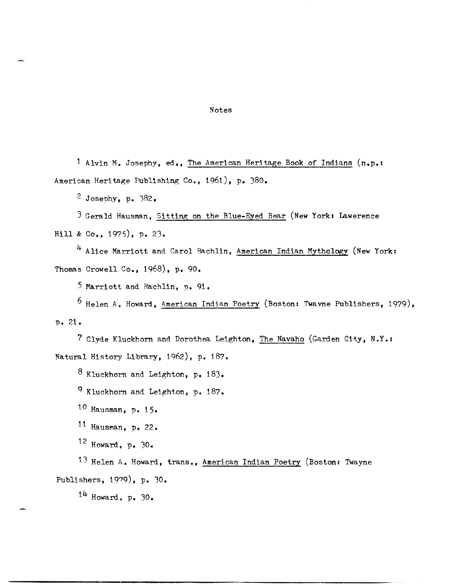## Notes

1 Alvin M. Josephy, ed., The American Heritage Book of Indians (n.p.: American Heritage Publishing Co., 1961), p. 380.

 $2$  Josephy, p. 382.

3 Gerald Hausman, Sitting on the Blue-Eyed Bear (New York: Iawerence Hill & Co., 1975), p. 23.

4 Alice Marriott and Carol Rachlin, American Indian Mythology (New York: Thomas Crowell Co., 1968), p. 90.

5 Marriott and Rachlin, p. 91.

6 Helen A. Howard, American Indjan Poetry (Boston: Twayne Publishers, 1979), p. 21.

```
7 Clyde Kluckhorn and Dorothea Leighton, The Navaho (Garden City, N.Y.: 
Natural History Library, 1962), p. 187.
```
 $8$  Kluckhorn and Leighton. p. 183.

9 Kluckhorn and Leighton, p. 187.

10 Hausman, p. 15.

 $11$  Hausman, p. 22.

 $12$  Howard. p. 30.

13 Helen A. Howard, trans., American Indian Poetry (Boston: Twayne Publishers, 1979), p. 30.

 $14$  Howard, p. 30.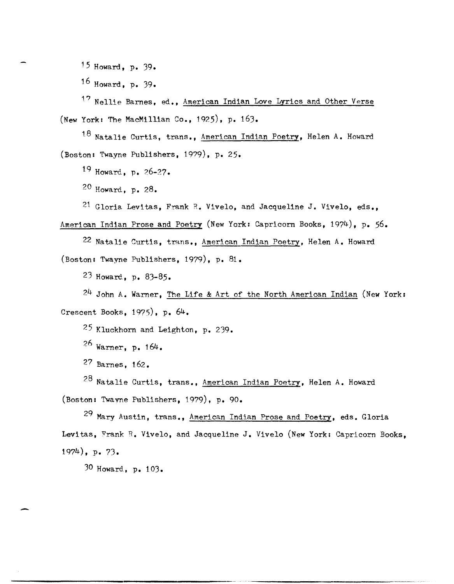15 Howard, p. 39.

16 Howard. p. 39.

 $1<sup>7</sup>$  Nellie Barnes, ed., American Indian Love Lyrics and Other Verse (New York: The MacMillian Co., 1925), p. 163.

18 Natalie Curtis, trans., American Indian Poetry, Helen A. Howard (Boston: Twayne Publishers, 1979), p. 25.

19 Howard, p. 26-27.

20 Howard., p. 28.

21 Gloria Levitas, Frank R. Vivelo, and Jacqueline J. Vivelo, eds.,

American Indian Prose and Poetry (New York: Capricorn Books, 1974), p. 56.

22 Natalie Curtis, trans., American Indian Poetry, Helen A. Howard (Boston: Twayne Publishers, 1979), p. 81.

23 Howard., p. 83-85.

24 John A. Warner, The Life & Art of the North American Indian (New York: Crescent Books, 1975), p. 64.

25 Kluckhorn and Leighton, p. 239.

 $26$  Warner, p. 164.

27 Barnes, 162.

 $28$  Natalie Curtis, trans., American Indian Poetry, Helen A. Howard (Boston: Twayne Publishers, 1979), p. 90.

29 Mary Austin, trans., American Indian Prose and Poetry, eds. Gloria Levitas, Frank R. Vivelo, and Jacqueline J. Vivelo (New York: Capricorn Books. 1974), p. 73.

30 Howard, p. 103.

-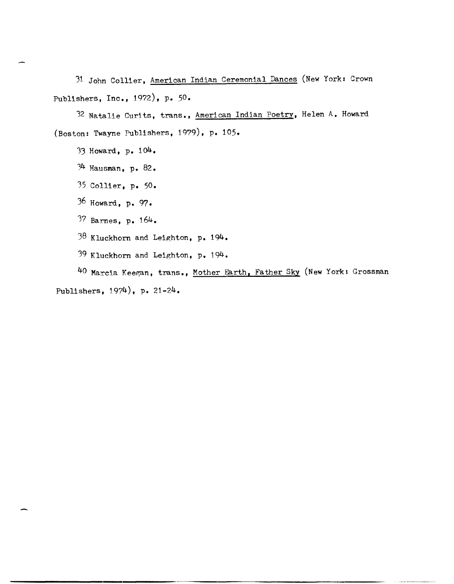31 John Collier, American Indian Ceremonial Dances (New York: Crown Publishers, Inc., 1972), p. 50.

32 Natalie Curits, trans., American Indian Poetry, Helen A. Howard (Boston: Twayne Publishers, 1979), p. 105.

- 33 Howard, p. 104.
- )4 Hausman, p. 82.
- 35 Collier, p. 50.
- 36 Howard, p. 97.
- 37 Barnes, p. 164.
- 38 Kluckhorn and Leighton, p. 194.
- 39 Kluckhorn and Leighton, p. 194.

40 Marcia Keegan, trans., Mother Earth, Father Sky (New York: Grossman Publishers, 1974), p. 21-24.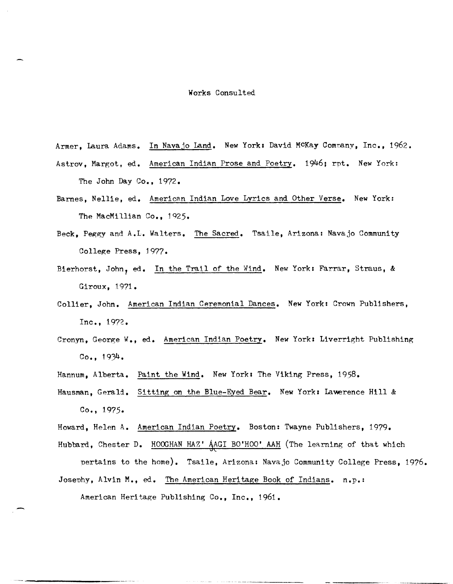## Works Consulted

Armer, Laura Adams. In Navajo Land. New York: David McKay Company, Inc., 1962. Astrov, Margot, ed. American Indian Prose and Poetry. 1946; rpt. New York: The John Day Co., 1972.

- Barnes, Nellie, ed. American Indian Love Lyrics and Other Verse. New York: The MacMillian Co.,  $1925.$
- Beck, Peggy and A.L. Walters. The Sacred. Tsaile, Arizona: Navajo Community College Press, 1977.
- Bierhorst, John, ed. In the Trail of the Wind. New York: Farrar, Straus, & Giroux, 1971.
- Collier, John. American Indian Ceremonial Dances. New York: Crown Publishers,  $Inc., 1972.$
- Cronyn, George W., ed. American Indian Poetry. New York: Liverright Publishing Co., 1934.
- Hannum, Alberta. Paint the Wind. New York: The Viking Press, 1958.
- Hausman, Gerald. Sitting on the Blue-Eyed Bear. New York: Lawerence Hill & Co., 1975.
- Howard, Helen A. American Indian Poetry. Boston: Twayne Publishers, 1979.

Hubbard, Chester D. HOOGHAN HAZ' AAGI BO'HOO' AAH (The learning of that which pertains to the home). Tsaile, Arizona: Navajo Community College Press, 1976. Josephy, Alvin M., ed. The American Heritage Book of Indians. n.p.:

American Heritage Publishing Co., Inc., 1961.